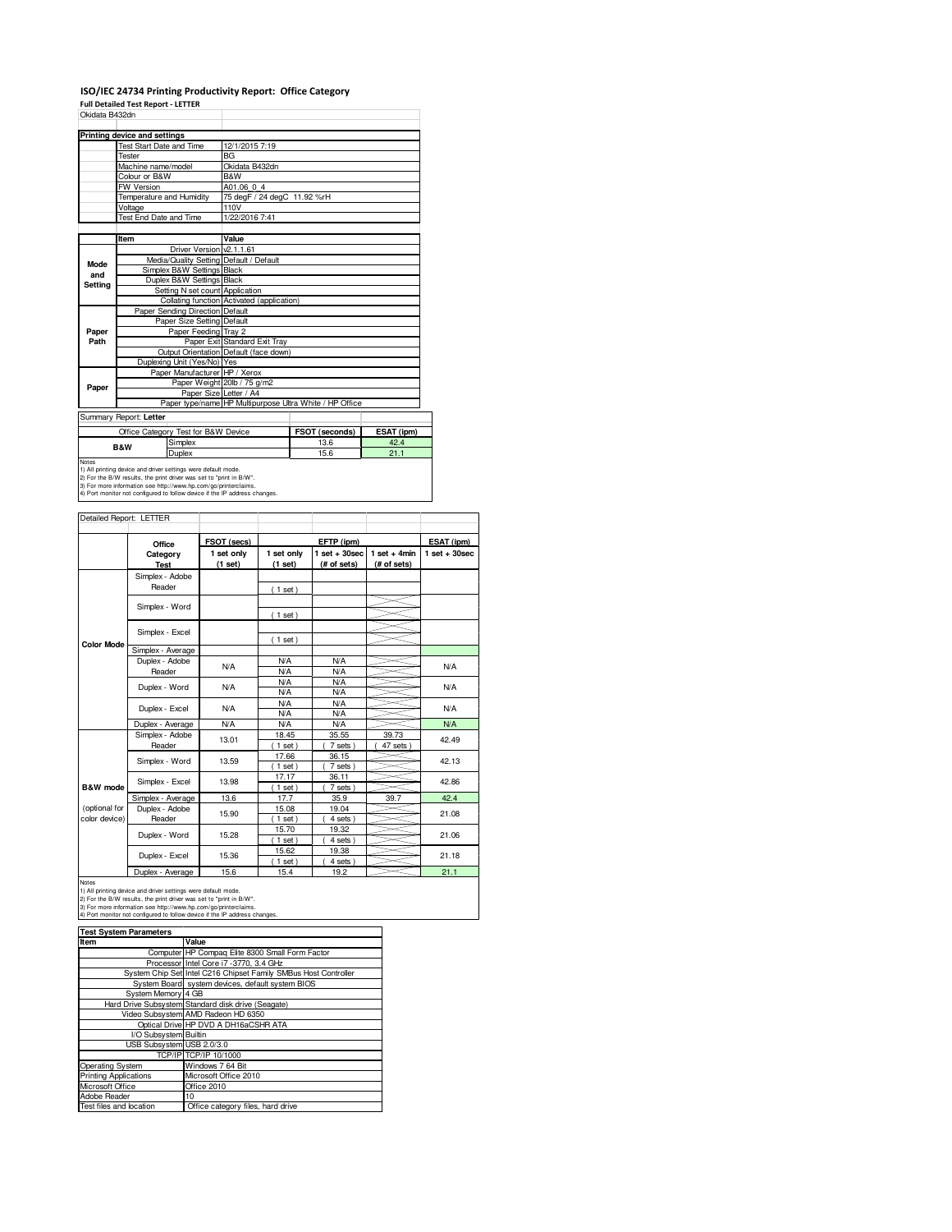## **ISO/IEC 24734 Printing Productivity Report: Office Category**

**Full Detailed Test Report - LETTER**

| Okidata B432dn |                                                                                                                                      |                                            |                                                         |            |  |  |
|----------------|--------------------------------------------------------------------------------------------------------------------------------------|--------------------------------------------|---------------------------------------------------------|------------|--|--|
|                | Printing device and settings                                                                                                         |                                            |                                                         |            |  |  |
|                | <b>Test Start Date and Time</b>                                                                                                      | 12/1/2015 7:19                             |                                                         |            |  |  |
|                | Tester                                                                                                                               | <b>BG</b>                                  |                                                         |            |  |  |
|                | Machine name/model                                                                                                                   | Okidata B432dn                             |                                                         |            |  |  |
|                | Colour or B&W                                                                                                                        | B&W                                        |                                                         |            |  |  |
|                | FW Version                                                                                                                           | A01.06 0 4                                 |                                                         |            |  |  |
|                | Temperature and Humidity                                                                                                             | 75 degF / 24 degC 11.92 %rH                |                                                         |            |  |  |
|                | Voltage                                                                                                                              | 110V                                       |                                                         |            |  |  |
|                | Test End Date and Time                                                                                                               | 1/22/2016 7:41                             |                                                         |            |  |  |
|                |                                                                                                                                      |                                            |                                                         |            |  |  |
|                | Item                                                                                                                                 | Value                                      |                                                         |            |  |  |
|                | Driver Version v2.1.1.61                                                                                                             |                                            |                                                         |            |  |  |
| Mode           | Media/Quality Setting Default / Default                                                                                              |                                            |                                                         |            |  |  |
| and            | Simplex B&W Settings Black                                                                                                           |                                            |                                                         |            |  |  |
| Setting        | Duplex B&W Settings Black                                                                                                            |                                            |                                                         |            |  |  |
|                | Setting N set count Application                                                                                                      |                                            |                                                         |            |  |  |
|                |                                                                                                                                      | Collating function Activated (application) |                                                         |            |  |  |
|                | Paper Sending Direction Default                                                                                                      |                                            |                                                         |            |  |  |
|                | Paper Size Setting Default                                                                                                           |                                            |                                                         |            |  |  |
| Paper          | Paper Feeding Tray 2                                                                                                                 |                                            |                                                         |            |  |  |
| Path           |                                                                                                                                      | Paper Exit Standard Exit Tray              |                                                         |            |  |  |
|                |                                                                                                                                      | Output Orientation Default (face down)     |                                                         |            |  |  |
|                | Duplexing Unit (Yes/No) Yes                                                                                                          |                                            |                                                         |            |  |  |
|                | Paper Manufacturer HP / Xerox                                                                                                        |                                            |                                                         |            |  |  |
| Paper          |                                                                                                                                      | Paper Weight 20lb / 75 g/m2                |                                                         |            |  |  |
|                | Paper Size Letter / A4                                                                                                               |                                            |                                                         |            |  |  |
|                |                                                                                                                                      |                                            | Paper type/name HP Multipurpose Ultra White / HP Office |            |  |  |
|                | Summary Report: Letter                                                                                                               |                                            |                                                         |            |  |  |
|                | Office Category Test for B&W Device                                                                                                  |                                            | FSOT (seconds)                                          | ESAT (ipm) |  |  |
|                | Simplex<br><b>B&amp;W</b>                                                                                                            |                                            | 13.6                                                    | 42.4       |  |  |
|                | Duplex                                                                                                                               |                                            | 15.6                                                    | 21.1       |  |  |
| Notes          |                                                                                                                                      |                                            |                                                         |            |  |  |
|                | 1) All printing device and driver settings were default mode.<br>2) For the B/W results, the print driver was set to "print in B/W". |                                            |                                                         |            |  |  |
|                | 3) For more information see http://www.hp.com/go/printerclaims.                                                                      |                                            |                                                         |            |  |  |
|                | 4) Port monitor not configured to follow device if the IP address changes.                                                           |                                            |                                                         |            |  |  |

|                   | Detailed Report: LETTER   |             |                   |                   |                |                 |
|-------------------|---------------------------|-------------|-------------------|-------------------|----------------|-----------------|
|                   |                           |             |                   |                   |                |                 |
|                   | Office                    | FSOT (secs) |                   | EFTP (ipm)        |                | ESAT (ipm)      |
|                   | Category                  | 1 set only  | 1 set only        | $1$ set $+30$ sec | $1$ set + 4min | $1$ set + 30sec |
|                   | Test                      | (1 set)     | (1 set)           | (# of sets)       | (# of sets)    |                 |
|                   | Simplex - Adobe           |             |                   |                   |                |                 |
|                   | Reader                    |             | (1 set)           |                   |                |                 |
|                   |                           |             |                   |                   |                |                 |
|                   | Simplex - Word            |             | (1 set)           |                   |                |                 |
|                   |                           |             |                   |                   |                |                 |
|                   | Simplex - Excel           |             | (1 set)           |                   |                |                 |
| <b>Color Mode</b> | Simplex - Average         |             |                   |                   |                |                 |
|                   | Duplex - Adobe            |             | <b>N/A</b>        | <b>N/A</b>        |                |                 |
|                   | Reader                    | N/A         | N/A               | N/A               |                | <b>N/A</b>      |
|                   | Duplex - Word             | <b>N/A</b>  | <b>N/A</b>        | N/A               |                | <b>N/A</b>      |
|                   |                           |             | <b>N/A</b>        | <b>N/A</b>        |                |                 |
|                   | Duplex - Excel            | <b>N/A</b>  | <b>N/A</b>        | <b>N/A</b>        |                | <b>N/A</b>      |
|                   |                           |             | <b>N/A</b>        | <b>N/A</b>        |                |                 |
|                   | Duplex - Average          | <b>N/A</b>  | N/A               | <b>N/A</b>        |                | <b>N/A</b>      |
|                   | Simplex - Adobe<br>Reader | 13.01       | 18.45<br>$1$ set) | 35.55<br>7 sets)  | 39.73          | 42.49           |
|                   |                           |             | 17.66             | 36.15             | 47 sets        |                 |
|                   | Simplex - Word            | 13.59       | $1$ set)          | 7 sets)           |                | 42.13           |
|                   |                           |             | 17.17             | 36.11             |                |                 |
| B&W mode          | Simplex - Excel           | 13.98       | $1$ set)          | 7 sets)           |                | 42.86           |
|                   | Simplex - Average         | 13.6        | 17.7              | 35.9              | 39.7           | 42.4            |
| (optional for     | Duplex - Adobe            | 15.90       | 15.08             | 19.04             |                | 21.08           |
| color device)     | Reader                    |             | $1$ set)          | 4 sets)           |                |                 |
|                   | Duplex - Word             | 15.28       | 15.70             | 19.32             |                | 21.06           |
|                   |                           |             | $1$ set)          | 4 sets)           |                |                 |
|                   | Duplex - Excel            | 15.36       | 15.62<br>$1$ set) | 19.38<br>4 sets)  |                | 21.18           |
|                   | Duplex - Average          | 15.6        | 15.4              | 19.2              |                | 21.1            |

Notes<br>1) All printing device and driver settings were default mode.<br>2) For the B/W results, the print driver was set to "print in B/W".<br>3) For more information see http://www.hp.com/go/printerclaims.<br>4) Port monitor not co

| <b>Test System Parameters</b> |                                                                 |  |  |  |  |
|-------------------------------|-----------------------------------------------------------------|--|--|--|--|
| Item                          | Value                                                           |  |  |  |  |
|                               | Computer HP Compag Elite 8300 Small Form Factor                 |  |  |  |  |
|                               | Processor Intel Core i7 -3770, 3.4 GHz                          |  |  |  |  |
|                               | System Chip Set Intel C216 Chipset Family SMBus Host Controller |  |  |  |  |
|                               | System Board system devices, default system BIOS                |  |  |  |  |
| System Memory 4 GB            |                                                                 |  |  |  |  |
|                               | Hard Drive Subsystem Standard disk drive (Seagate)              |  |  |  |  |
|                               | Video Subsystem AMD Radeon HD 6350                              |  |  |  |  |
|                               | Optical Drive HP DVD A DH16aCSHR ATA                            |  |  |  |  |
| I/O Subsystem Builtin         |                                                                 |  |  |  |  |
| USB Subsystem USB 2.0/3.0     |                                                                 |  |  |  |  |
|                               | TCP/IP TCP/IP 10/1000                                           |  |  |  |  |
| Operating System              | Windows 7 64 Bit                                                |  |  |  |  |
| <b>Printing Applications</b>  | Microsoft Office 2010                                           |  |  |  |  |
| Microsoft Office              | Office 2010                                                     |  |  |  |  |
| Adobe Reader                  | 10                                                              |  |  |  |  |
| Test files and location       | Office category files, hard drive                               |  |  |  |  |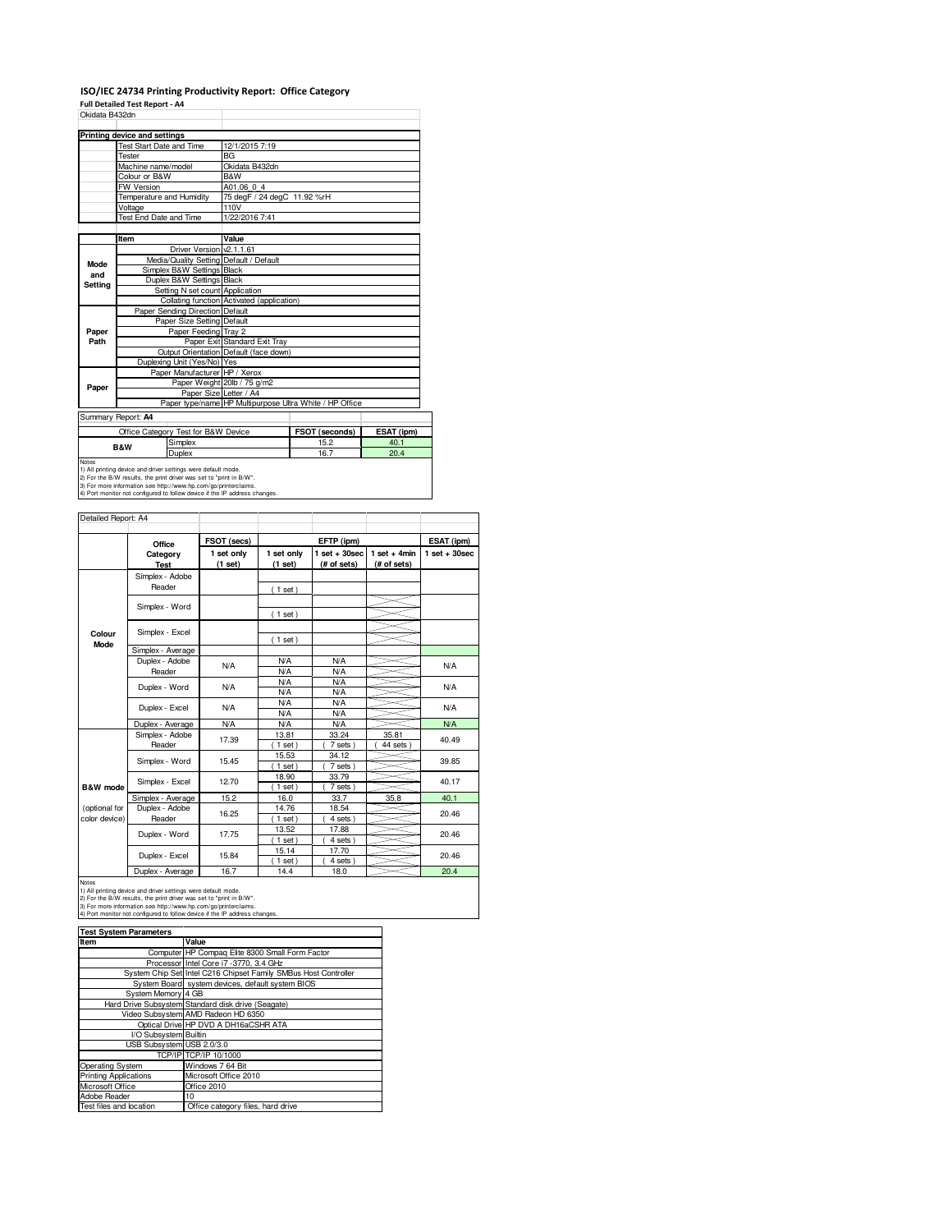## **ISO/IEC 24734 Printing Productivity Report: Office Category Full Detailed Test Report - A4**

| Okidata B432dn |                               |                                     |                                                         |                |            |  |
|----------------|-------------------------------|-------------------------------------|---------------------------------------------------------|----------------|------------|--|
|                | Printing device and settings  |                                     |                                                         |                |            |  |
|                | Test Start Date and Time      |                                     | 12/1/2015 7:19                                          |                |            |  |
|                | Tester                        |                                     | <b>BG</b>                                               |                |            |  |
|                | Machine name/model            |                                     | Okidata B432dn                                          |                |            |  |
|                | Colour or B&W                 |                                     | B&W                                                     |                |            |  |
|                | <b>FW Version</b>             |                                     | A01.06 0 4                                              |                |            |  |
|                | Temperature and Humidity      |                                     | 75 degF / 24 degC 11.92 %rH                             |                |            |  |
|                | Voltage                       |                                     | 110V                                                    |                |            |  |
|                | <b>Test End Date and Time</b> |                                     | 1/22/2016 7:41                                          |                |            |  |
|                |                               |                                     |                                                         |                |            |  |
|                | Item                          |                                     | Value                                                   |                |            |  |
|                |                               | Driver Version v2.1.1.61            |                                                         |                |            |  |
| Mode           |                               |                                     | Media/Quality Setting Default / Default                 |                |            |  |
| and            |                               | Simplex B&W Settings Black          |                                                         |                |            |  |
| <b>Settina</b> |                               | Duplex B&W Settings Black           |                                                         |                |            |  |
|                |                               | Setting N set count Application     |                                                         |                |            |  |
|                |                               |                                     | Collating function Activated (application)              |                |            |  |
|                |                               | Paper Sending Direction Default     |                                                         |                |            |  |
|                |                               | Paper Size Setting Default          |                                                         |                |            |  |
| Paper          |                               | Paper Feeding Tray 2                |                                                         |                |            |  |
| Path           |                               |                                     | Paper Exit Standard Exit Tray                           |                |            |  |
|                |                               |                                     | Output Orientation Default (face down)                  |                |            |  |
|                |                               | Duplexing Unit (Yes/No) Yes         |                                                         |                |            |  |
|                |                               | Paper Manufacturer HP / Xerox       |                                                         |                |            |  |
| Paper          |                               |                                     | Paper Weight 20lb / 75 g/m2                             |                |            |  |
|                |                               | Paper Size Letter / A4              |                                                         |                |            |  |
|                |                               |                                     | Paper type/name HP Multipurpose Ultra White / HP Office |                |            |  |
|                | Summary Report: A4            |                                     |                                                         |                |            |  |
|                |                               | Office Category Test for B&W Device |                                                         | FSOT (seconds) | ESAT (ipm) |  |
|                | <b>B&amp;W</b>                | Simplex                             |                                                         | 15.2           | 40.1       |  |
|                |                               | Duplex                              |                                                         | 16.7           | 20.4       |  |
| Notes          |                               |                                     |                                                         |                |            |  |

Notes<br>1) All printing device and driver settings were default mode.<br>2) For the B/W results, the print driver was set to "print in B/W".<br>3) For more information see thtp://www.hp.com/go/printerclaims.<br>4) Port monitor not co

| Detailed Report: A4            |                           |                       |                          |                                  |                               |                   |
|--------------------------------|---------------------------|-----------------------|--------------------------|----------------------------------|-------------------------------|-------------------|
|                                | Office                    | FSOT (secs)           |                          | EFTP (ipm)                       |                               | ESAT (ipm)        |
|                                | Category<br><b>Test</b>   | 1 set only<br>(1 set) | 1 set only<br>(1 set)    | $1$ set $+30$ sec<br>(# of sets) | $1$ set + 4min<br>(# of sets) | $1$ set $+30$ sec |
|                                | Simplex - Adobe<br>Reader |                       | $1$ set)                 |                                  |                               |                   |
|                                | Simplex - Word            |                       | (1 set)                  |                                  |                               |                   |
| Colour                         | Simplex - Excel           |                       | $1$ set)                 |                                  |                               |                   |
| Mode                           | Simplex - Average         |                       |                          |                                  |                               |                   |
|                                | Duplex - Adobe<br>Reader  | N/A                   | <b>N/A</b><br><b>N/A</b> | <b>N/A</b><br><b>N/A</b>         |                               | N/A               |
|                                | Duplex - Word             | N/A                   | <b>N/A</b><br><b>N/A</b> | <b>N/A</b><br><b>N/A</b>         |                               | <b>N/A</b>        |
|                                | Duplex - Excel            | N/A                   | <b>N/A</b><br><b>N/A</b> | <b>N/A</b><br><b>N/A</b>         |                               | N/A               |
|                                | Duplex - Average          | N/A                   | <b>N/A</b>               | <b>N/A</b>                       |                               | <b>N/A</b>        |
|                                | Simplex - Adobe<br>Reader | 17.39                 | 13.81<br>$1$ set $)$     | 33.24<br>7 sets                  | 35.81<br>44 sets              | 40.49             |
|                                | Simplex - Word            | 15.45                 | 15.53<br>$1$ set $)$     | 34.12<br>7 sets)                 |                               | 39.85             |
| B&W mode                       | Simplex - Excel           | 12.70                 | 18.90<br>$1$ set)        | 33.79<br>7 sets                  |                               | 40.17             |
|                                | Simplex - Average         | 15.2                  | 16.0                     | 33.7                             | 35.8                          | 40.1              |
| (optional for<br>color device) | Duplex - Adobe<br>Reader  | 16.25                 | 14.76<br>$1$ set)        | 18.54<br>4 sets                  |                               | 20.46             |
|                                | Duplex - Word             | 17.75                 | 13.52<br>$1$ set)        | 17.88<br>4 sets)                 |                               | 20.46             |
|                                | Duplex - Excel            | 15.84                 | 15.14<br>$1$ set)        | 17.70<br>4 sets                  |                               | 20.46             |
|                                | Duploy Average            | $1C$ $7$              | <b>144</b>               | 100                              |                               | 20A               |

Duplex - Average | 16.7 | 14.4 | 18.0 20.4<br>
1) All printing device and driver settings were default mode.<br>
2) For the B/W results, the print driver was set to "print in B/W".<br>
3) For more information see http://www.hp.com

| <b>Test System Parameters</b> |                                                                 |  |  |  |  |
|-------------------------------|-----------------------------------------------------------------|--|--|--|--|
| Item                          | Value                                                           |  |  |  |  |
|                               | Computer HP Compaq Elite 8300 Small Form Factor                 |  |  |  |  |
|                               | Processor Intel Core i7 -3770, 3.4 GHz                          |  |  |  |  |
|                               | System Chip Set Intel C216 Chipset Family SMBus Host Controller |  |  |  |  |
|                               | System Board system devices, default system BIOS                |  |  |  |  |
| System Memory 4 GB            |                                                                 |  |  |  |  |
|                               | Hard Drive Subsystem Standard disk drive (Seagate)              |  |  |  |  |
|                               | Video Subsystem AMD Radeon HD 6350                              |  |  |  |  |
|                               | Optical Drive HP DVD A DH16aCSHR ATA                            |  |  |  |  |
| I/O Subsystem Builtin         |                                                                 |  |  |  |  |
| USB Subsystem USB 2.0/3.0     |                                                                 |  |  |  |  |
|                               | TCP/IP TCP/IP 10/1000                                           |  |  |  |  |
| Operating System              | Windows 7 64 Bit                                                |  |  |  |  |
| <b>Printing Applications</b>  | Microsoft Office 2010                                           |  |  |  |  |
| Microsoft Office              | Office 2010                                                     |  |  |  |  |
| Adobe Reader                  | 10                                                              |  |  |  |  |
| Test files and location       | Office category files, hard drive                               |  |  |  |  |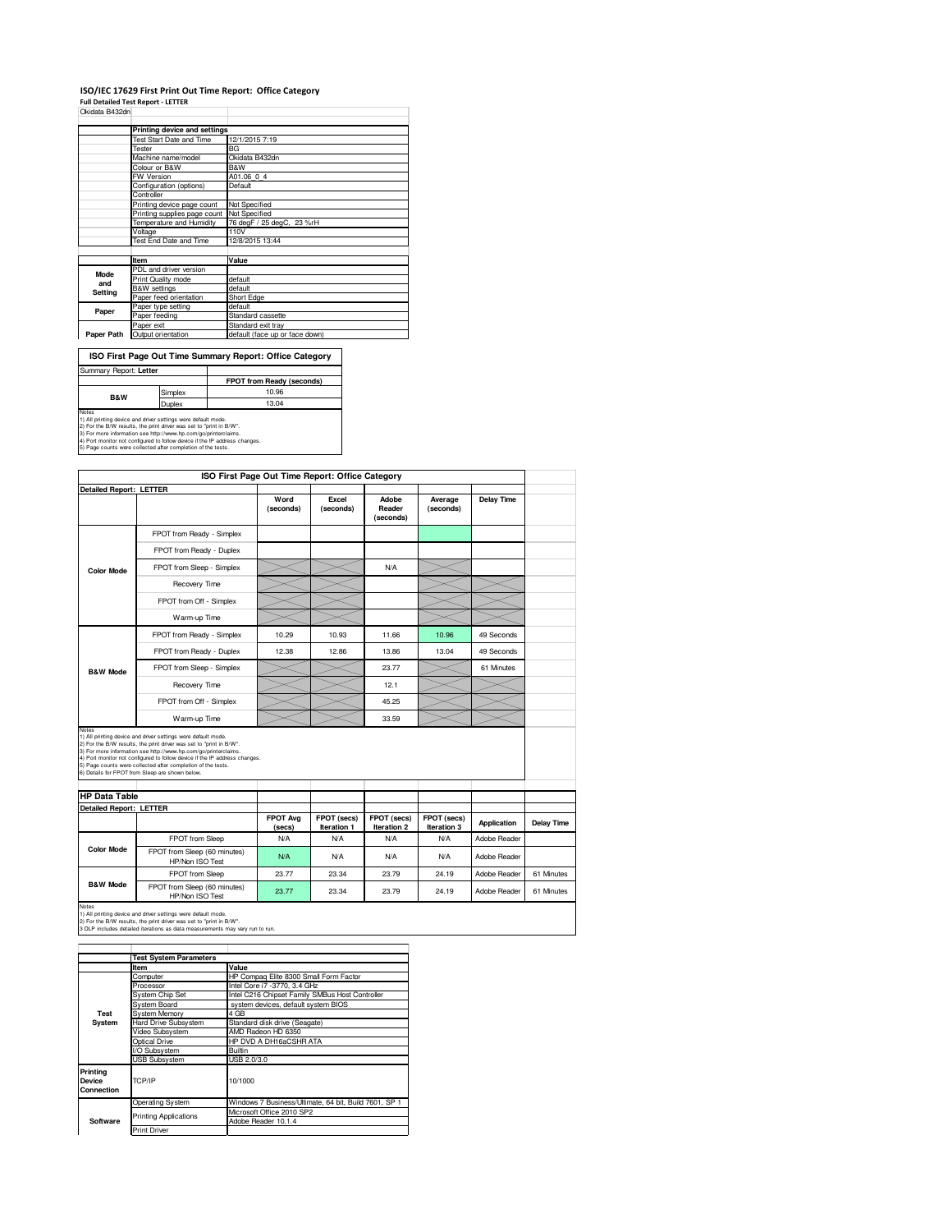## **ISO/IEC 17629 First Print Out Time Report: Office Category Full Detailed Test Report - LETTER**

| Okidata B432dn |  |  |  |
|----------------|--|--|--|

|             | Printing device and settings    |                                |
|-------------|---------------------------------|--------------------------------|
|             | <b>Test Start Date and Time</b> | 12/1/2015 7:19                 |
|             | Tester                          | BG                             |
|             | Machine name/model              | Okidata B432dn                 |
|             | Colour or B&W                   | B&W                            |
|             | <b>FW Version</b>               | A01.06 0 4                     |
|             | Configuration (options)         | Default                        |
|             | Controller                      |                                |
|             | Printing device page count      | Not Specified                  |
|             | Printing supplies page count    | <b>Not Specified</b>           |
|             | Temperature and Humidity        | 76 degF / 25 degC, 23 %rH      |
|             | Voltage                         | 110V                           |
|             | Test End Date and Time          | 12/8/2015 13:44                |
|             |                                 |                                |
|             | Item                            | Value                          |
| <b>Mode</b> | PDL and driver version          |                                |
| and         | Print Quality mode              | default                        |
| Setting     | <b>B&amp;W</b> settings         | default                        |
|             | Paper feed orientation          | Short Edge                     |
| Paper       | Paper type setting              | default                        |
|             | Paper feeding                   | Standard cassette              |
|             | Paper exit                      | Standard exit tray             |
| Paper Path  | Output orientation              | default (face up or face down) |

| ISO First Page Out Time Summary Report: Office Category                |         |                           |  |  |  |
|------------------------------------------------------------------------|---------|---------------------------|--|--|--|
| Summary Report: Letter                                                 |         |                           |  |  |  |
|                                                                        |         | FPOT from Ready (seconds) |  |  |  |
| <b>B&amp;W</b>                                                         | Simplex | 10.96                     |  |  |  |
| Duplex                                                                 |         | 13.04                     |  |  |  |
| Notes<br>1) All printing device and driver settings were default mode. |         |                           |  |  |  |

1) All pinting device and driver settings were default mode.<br>2) For the B/W results, the print driver was set to "print in B/W".<br>3) For more information see http://www.hp.com/go/printerclaims.<br>4) Port monitor not configure

| ISO First Page Out Time Report: Office Category |                                                                                                                                                                                                                                                                                                                                                                                                                   |                           |                            |                                   |                            |                   |            |
|-------------------------------------------------|-------------------------------------------------------------------------------------------------------------------------------------------------------------------------------------------------------------------------------------------------------------------------------------------------------------------------------------------------------------------------------------------------------------------|---------------------------|----------------------------|-----------------------------------|----------------------------|-------------------|------------|
| <b>Detailed Report: LETTER</b>                  |                                                                                                                                                                                                                                                                                                                                                                                                                   |                           |                            |                                   |                            |                   |            |
|                                                 |                                                                                                                                                                                                                                                                                                                                                                                                                   | Word<br>(seconds)         | Excel<br>(seconds)         | Adobe<br>Reader<br>(seconds)      | Average<br>(seconds)       | <b>Delay Time</b> |            |
|                                                 | FPOT from Ready - Simplex                                                                                                                                                                                                                                                                                                                                                                                         |                           |                            |                                   |                            |                   |            |
|                                                 | FPOT from Ready - Duplex                                                                                                                                                                                                                                                                                                                                                                                          |                           |                            |                                   |                            |                   |            |
| <b>Color Mode</b>                               | FPOT from Sleep - Simplex                                                                                                                                                                                                                                                                                                                                                                                         |                           |                            | <b>N/A</b>                        |                            |                   |            |
|                                                 | Recovery Time                                                                                                                                                                                                                                                                                                                                                                                                     |                           |                            |                                   |                            |                   |            |
|                                                 | FPOT from Off - Simplex                                                                                                                                                                                                                                                                                                                                                                                           |                           |                            |                                   |                            |                   |            |
|                                                 | Warm-up Time                                                                                                                                                                                                                                                                                                                                                                                                      |                           |                            |                                   |                            |                   |            |
|                                                 | FPOT from Ready - Simplex                                                                                                                                                                                                                                                                                                                                                                                         | 10.29                     | 10.93                      | 11.66                             | 10.96                      | 49 Seconds        |            |
|                                                 | FPOT from Ready - Duplex                                                                                                                                                                                                                                                                                                                                                                                          | 12.38                     | 12.86                      | 13.86                             | 13.04                      | 49 Seconds        |            |
| <b>B&amp;W Mode</b>                             | FPOT from Sleep - Simplex                                                                                                                                                                                                                                                                                                                                                                                         |                           |                            | 23.77                             |                            | 61 Minutes        |            |
|                                                 | Recovery Time                                                                                                                                                                                                                                                                                                                                                                                                     |                           |                            | 12.1                              |                            |                   |            |
|                                                 | FPOT from Off - Simplex                                                                                                                                                                                                                                                                                                                                                                                           |                           |                            | 45.25                             |                            |                   |            |
|                                                 | Warm-up Time                                                                                                                                                                                                                                                                                                                                                                                                      |                           |                            | 33.59                             |                            |                   |            |
|                                                 | Notes<br>1) All printing device and driver settings were default mode.<br>2) For the B/W results, the print driver was set to "print in B/W".<br>3) For more information see http://www.hp.com/go/printerclaims.<br>4) Port monitor not configured to follow device if the IP address changes.<br>5) Page counts were collected after completion of the tests.<br>6) Details for FPOT from Sleep are shown below. |                           |                            |                                   |                            |                   |            |
| <b>HP Data Table</b>                            |                                                                                                                                                                                                                                                                                                                                                                                                                   |                           |                            |                                   |                            |                   |            |
| <b>Detailed Report: LETTER</b>                  |                                                                                                                                                                                                                                                                                                                                                                                                                   |                           |                            |                                   |                            |                   |            |
|                                                 |                                                                                                                                                                                                                                                                                                                                                                                                                   | <b>FPOT Avg</b><br>(secs) | FPOT (secs)<br>Iteration 1 | FPOT (secs)<br><b>Iteration 2</b> | FPOT (secs)<br>Iteration 3 | Application       | Delay Time |
|                                                 | FPOT from Sleep                                                                                                                                                                                                                                                                                                                                                                                                   | N/A                       | N/A                        | N/A                               | <b>N/A</b>                 | Adobe Reader      |            |
| <b>Color Mode</b>                               | FPOT from Sleep (60 minutes)<br>HP/Non ISO Test                                                                                                                                                                                                                                                                                                                                                                   | <b>N/A</b>                | N/A                        | N/A                               | <b>N/A</b>                 | Adobe Reader      |            |
|                                                 | FPOT from Sleep                                                                                                                                                                                                                                                                                                                                                                                                   | 23.77                     | 23.34                      | 23.79                             | 24.19                      | Adobe Reader      | 61 Minutes |
| <b>B&amp;W Mode</b>                             | FPOT from Sleep (60 minutes)<br>HP/Non ISO Test                                                                                                                                                                                                                                                                                                                                                                   | 23.77                     | 23.34                      | 23.79                             | 24.19                      | Adobe Reader      | 61 Minutes |

Notes<br>1) All printing device and driver settings were default mode.<br>2) For the B/W results, the print driver was set to "print in B/W".<br>3 DLP includes detailed iterations as data measurements may vary run to run.

|                                         | <b>Test System Parameters</b> |                                                       |  |  |
|-----------------------------------------|-------------------------------|-------------------------------------------------------|--|--|
|                                         | Item                          | Value                                                 |  |  |
|                                         | Computer                      | HP Compag Elite 8300 Small Form Factor                |  |  |
|                                         | Processor                     | Intel Core i7 -3770, 3.4 GHz                          |  |  |
|                                         | <b>System Chip Set</b>        | Intel C216 Chipset Family SMBus Host Controller       |  |  |
|                                         | System Board                  | system devices, default system BIOS                   |  |  |
| Test                                    | System Memory                 | 4 GB                                                  |  |  |
| System                                  | <b>Hard Drive Subsystem</b>   | Standard disk drive (Seagate)                         |  |  |
|                                         | Video Subsystem               | AMD Radeon HD 6350                                    |  |  |
|                                         | Optical Drive                 | HP DVD A DH16aCSHR ATA                                |  |  |
|                                         | I/O Subsystem                 | <b>Builtin</b>                                        |  |  |
|                                         | <b>USB Subsystem</b>          | USB 2.0/3.0                                           |  |  |
| Printing<br><b>Device</b><br>Connection | TCP/IP                        | 10/1000                                               |  |  |
|                                         | <b>Operating System</b>       | Windows 7 Business/Ultimate, 64 bit, Build 7601, SP 1 |  |  |
|                                         | <b>Printing Applications</b>  | Microsoft Office 2010 SP2                             |  |  |
| Software                                |                               | Adobe Reader 10.1.4                                   |  |  |
|                                         | <b>Print Driver</b>           |                                                       |  |  |